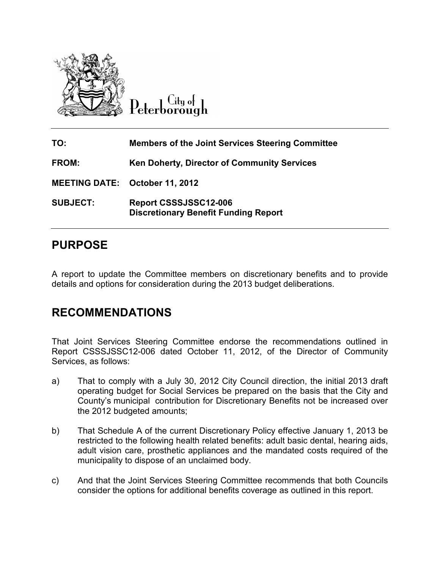

Citu o<del>l</del> eterborough

| TO:                                   | <b>Members of the Joint Services Steering Committee</b>              |
|---------------------------------------|----------------------------------------------------------------------|
| <b>FROM:</b>                          | <b>Ken Doherty, Director of Community Services</b>                   |
| <b>MEETING DATE: October 11, 2012</b> |                                                                      |
| <b>SUBJECT:</b>                       | Report CSSSJSSC12-006<br><b>Discretionary Benefit Funding Report</b> |

# **PURPOSE**

A report to update the Committee members on discretionary benefits and to provide A report to update the Committee members on discretionary benefits ar<br>details and options for consideration during the 2013 budget deliberations.

## **RECOMMENDATIONS S**

That Joint Services Steering Committee Services Steering Committee endorse the recommendations outlined in Report CSSSJSSC12-006 dated October 11, 2012, of the Director of Community Services, as follows:

- a) That to comply with a July 30, 2012 City Council direction, the initial 2013 draft operating budget for Social Services be prepared on the basis that the City and County's municipal contribution for Discretionary Benefits not increased over the 2012 budgeted amounts; That to comply with a July 30, 2012 City Council direction, the ir<br>operating budget for Social Services be prepared on the basis th<br>County's municipal contribution for Discretionary Benefits not be
- b) That Schedule A of the current Discretionary Policy effective January 1, 2013 be restricted to the following health related benefits: adult basic dental, hearing aids, adult vision care, prosthetic appliances and the mandated costs required of the municipality to dispose of an unclaimed body. That Schedule A of the current Discretionary Policy effective January 1, 201<br>restricted to the following health related benefits: adult basic dental, hearing<br>adult vision care, prosthetic appliances and the mandated costs
- c) And that the Joint Services Steering Committee recommends that both Councils consider the options for additional benefits coverage as outlined in this report.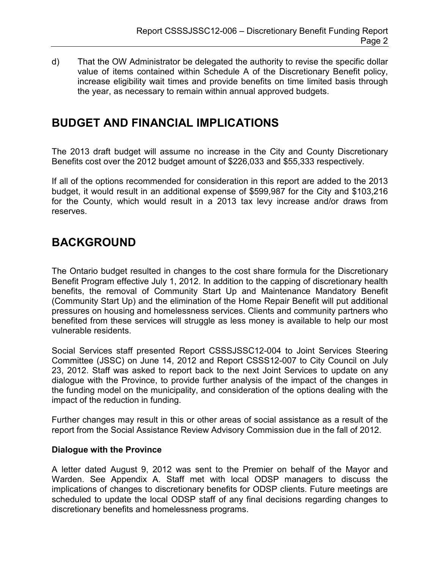d) That the OW Administrator be delegated the authority to revise the specific dollar value of items contained within Schedule A of the Discretionary Benefit policy, increase eligibility wait times and provide benefits on time limited basis through the year, as necessary to remain within annual approved budgets.

# **BUDGET AND FINANCIAL IMPLICATIONS**

The 2013 draft budget will assume no increase in the City and County Discretionary Benefits cost over the 2012 budget amount of \$226,033 and \$55,333 respectively.

If all of the options recommended for consideration in this report are added to the 2013 budget, it would result in an additional expense of \$599,987 for the City and \$103,216 for the County, which would result in a 2013 tax levy increase and/or draws from reserves.

## **BACKGROUND**

The Ontario budget resulted in changes to the cost share formula for the Discretionary Benefit Program effective July 1, 2012. In addition to the capping of discretionary health benefits, the removal of Community Start Up and Maintenance Mandatory Benefit (Community Start Up) and the elimination of the Home Repair Benefit will put additional pressures on housing and homelessness services. Clients and community partners who benefited from these services will struggle as less money is available to help our most vulnerable residents.

Social Services staff presented Report CSSSJSSC12-004 to Joint Services Steering Committee (JSSC) on June 14, 2012 and Report CSSS12-007 to City Council on July 23, 2012. Staff was asked to report back to the next Joint Services to update on any dialogue with the Province, to provide further analysis of the impact of the changes in the funding model on the municipality, and consideration of the options dealing with the impact of the reduction in funding.

Further changes may result in this or other areas of social assistance as a result of the report from the Social Assistance Review Advisory Commission due in the fall of 2012.

## **Dialogue with the Province**

A letter dated August 9, 2012 was sent to the Premier on behalf of the Mayor and Warden. See Appendix A. Staff met with local ODSP managers to discuss the implications of changes to discretionary benefits for ODSP clients. Future meetings are scheduled to update the local ODSP staff of any final decisions regarding changes to discretionary benefits and homelessness programs.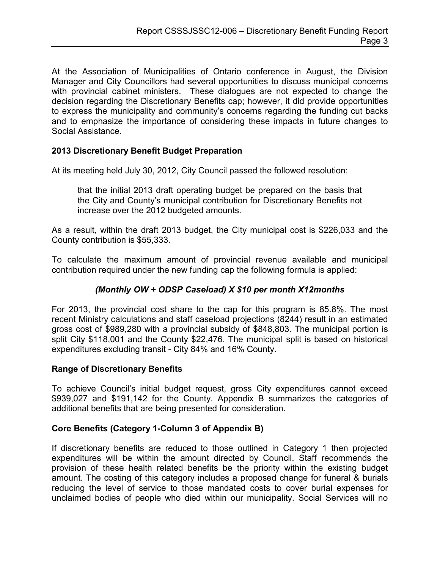At the Association of Municipalities of Ontario conference in August, the Division Manager and City Councillors had several opportunities to discuss municipal concerns with provincial cabinet ministers. These dialogues are not expected to change the decision regarding the Discretionary Benefits cap; however, it did provide opportunities to express the municipality and community's concerns regarding the funding cut backs and to emphasize the importance of considering these impacts in future changes to Social Assistance.

## **2013 Discretionary Benefit Budget Preparation**

At its meeting held July 30, 2012, City Council passed the followed resolution:

that the initial 2013 draft operating budget be prepared on the basis that the City and County's municipal contribution for Discretionary Benefits not increase over the 2012 budgeted amounts.

As a result, within the draft 2013 budget, the City municipal cost is \$226,033 and the County contribution is \$55,333.

To calculate the maximum amount of provincial revenue available and municipal contribution required under the new funding cap the following formula is applied:

## *(Monthly OW + ODSP Caseload) X \$10 per month X12months*

For 2013, the provincial cost share to the cap for this program is 85.8%. The most recent Ministry calculations and staff caseload projections (8244) result in an estimated gross cost of \$989,280 with a provincial subsidy of \$848,803. The municipal portion is split City \$118,001 and the County \$22,476. The municipal split is based on historical expenditures excluding transit - City 84% and 16% County.

### **Range of Discretionary Benefits**

To achieve Council's initial budget request, gross City expenditures cannot exceed \$939,027 and \$191,142 for the County. Appendix B summarizes the categories of additional benefits that are being presented for consideration.

### **Core Benefits (Category 1-Column 3 of Appendix B)**

If discretionary benefits are reduced to those outlined in Category 1 then projected expenditures will be within the amount directed by Council. Staff recommends the provision of these health related benefits be the priority within the existing budget amount. The costing of this category includes a proposed change for funeral & burials reducing the level of service to those mandated costs to cover burial expenses for unclaimed bodies of people who died within our municipality. Social Services will no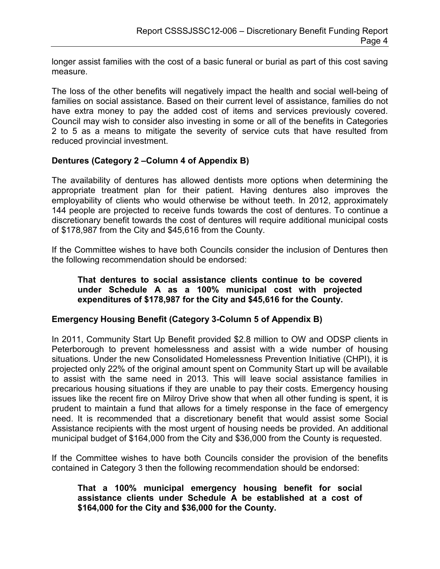longer assist families with the cost of a basic funeral or burial as part of this cost saving measure.

The loss of the other benefits will negatively impact the health and social well-being of families on social assistance. Based on their current level of assistance, families do not have extra money to pay the added cost of items and services previously covered. Council may wish to consider also investing in some or all of the benefits in Categories 2 to 5 as a means to mitigate the severity of service cuts that have resulted from reduced provincial investment.

## **Dentures (Category 2 –Column 4 of Appendix B)**

The availability of dentures has allowed dentists more options when determining the appropriate treatment plan for their patient. Having dentures also improves the employability of clients who would otherwise be without teeth. In 2012, approximately 144 people are projected to receive funds towards the cost of dentures. To continue a discretionary benefit towards the cost of dentures will require additional municipal costs of \$178,987 from the City and \$45,616 from the County.

If the Committee wishes to have both Councils consider the inclusion of Dentures then the following recommendation should be endorsed:

#### **That dentures to social assistance clients continue to be covered under Schedule A as a 100% municipal cost with projected expenditures of \$178,987 for the City and \$45,616 for the County.**

### **Emergency Housing Benefit (Category 3-Column 5 of Appendix B)**

In 2011, Community Start Up Benefit provided \$2.8 million to OW and ODSP clients in Peterborough to prevent homelessness and assist with a wide number of housing situations. Under the new Consolidated Homelessness Prevention Initiative (CHPI), it is projected only 22% of the original amount spent on Community Start up will be available to assist with the same need in 2013. This will leave social assistance families in precarious housing situations if they are unable to pay their costs. Emergency housing issues like the recent fire on Milroy Drive show that when all other funding is spent, it is prudent to maintain a fund that allows for a timely response in the face of emergency need. It is recommended that a discretionary benefit that would assist some Social Assistance recipients with the most urgent of housing needs be provided. An additional municipal budget of \$164,000 from the City and \$36,000 from the County is requested.

If the Committee wishes to have both Councils consider the provision of the benefits contained in Category 3 then the following recommendation should be endorsed:

### **That a 100% municipal emergency housing benefit for social assistance clients under Schedule A be established at a cost of \$164,000 for the City and \$36,000 for the County.**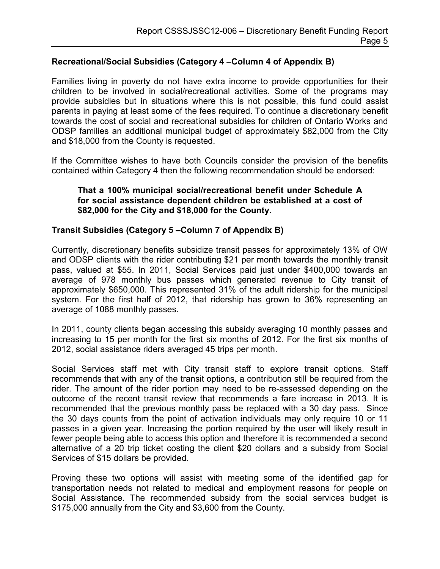## **Recreational/Social Subsidies (Category 4 –Column 4 of Appendix B)**

Families living in poverty do not have extra income to provide opportunities for their children to be involved in social/recreational activities. Some of the programs may provide subsidies but in situations where this is not possible, this fund could assist parents in paying at least some of the fees required. To continue a discretionary benefit towards the cost of social and recreational subsidies for children of Ontario Works and ODSP families an additional municipal budget of approximately \$82,000 from the City and \$18,000 from the County is requested.

If the Committee wishes to have both Councils consider the provision of the benefits contained within Category 4 then the following recommendation should be endorsed:

#### **That a 100% municipal social/recreational benefit under Schedule A for social assistance dependent children be established at a cost of \$82,000 for the City and \$18,000 for the County.**

#### **Transit Subsidies (Category 5 –Column 7 of Appendix B)**

Currently, discretionary benefits subsidize transit passes for approximately 13% of OW and ODSP clients with the rider contributing \$21 per month towards the monthly transit pass, valued at \$55. In 2011, Social Services paid just under \$400,000 towards an average of 978 monthly bus passes which generated revenue to City transit of approximately \$650,000. This represented 31% of the adult ridership for the municipal system. For the first half of 2012, that ridership has grown to 36% representing an average of 1088 monthly passes.

In 2011, county clients began accessing this subsidy averaging 10 monthly passes and increasing to 15 per month for the first six months of 2012. For the first six months of 2012, social assistance riders averaged 45 trips per month.

Social Services staff met with City transit staff to explore transit options. Staff recommends that with any of the transit options, a contribution still be required from the rider. The amount of the rider portion may need to be re-assessed depending on the outcome of the recent transit review that recommends a fare increase in 2013. It is recommended that the previous monthly pass be replaced with a 30 day pass. Since the 30 days counts from the point of activation individuals may only require 10 or 11 passes in a given year. Increasing the portion required by the user will likely result in fewer people being able to access this option and therefore it is recommended a second alternative of a 20 trip ticket costing the client \$20 dollars and a subsidy from Social Services of \$15 dollars be provided.

Proving these two options will assist with meeting some of the identified gap for transportation needs not related to medical and employment reasons for people on Social Assistance. The recommended subsidy from the social services budget is \$175,000 annually from the City and \$3,600 from the County.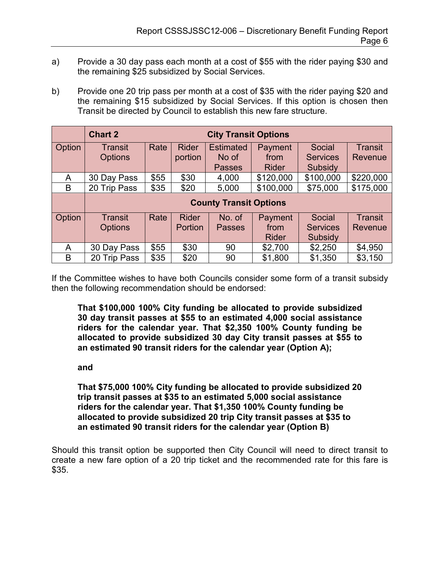- a) Provide a 30 day pass each month at a cost of \$55 with the rider paying \$30 and the remaining \$25 subsidized by Social Services.
- b) Provide one 20 trip pass per month at a cost of \$35 with the rider paying \$20 and the remaining \$15 subsidized by Social Services. If this option is chosen then Transit be directed by Council to establish this new fare structure.

|        | <b>Chart 2</b><br><b>City Transit Options</b> |      |              |                  |              |                 |                |  |
|--------|-----------------------------------------------|------|--------------|------------------|--------------|-----------------|----------------|--|
| Option | Transit                                       | Rate | <b>Rider</b> | <b>Estimated</b> | Payment      | Social          | Transit        |  |
|        | <b>Options</b>                                |      | portion      | No of            | from         | <b>Services</b> | Revenue        |  |
|        |                                               |      |              | <b>Passes</b>    | <b>Rider</b> | Subsidy         |                |  |
| A      | 30 Day Pass                                   | \$55 | \$30         | 4,000            | \$120,000    | \$100,000       | \$220,000      |  |
| B      | 20 Trip Pass                                  | \$35 | \$20         | 5,000            | \$100,000    | \$75,000        | \$175,000      |  |
|        | <b>County Transit Options</b>                 |      |              |                  |              |                 |                |  |
| Option | <b>Transit</b>                                | Rate | <b>Rider</b> | No. of           | Payment      | Social          | <b>Transit</b> |  |
|        | <b>Options</b>                                |      | Portion      | <b>Passes</b>    | from         | <b>Services</b> | Revenue        |  |
|        |                                               |      |              |                  | <b>Rider</b> | Subsidy         |                |  |
| A      | 30 Day Pass                                   | \$55 | \$30         | 90               | \$2,700      | \$2,250         | \$4,950        |  |
| B      | 20 Trip Pass                                  | \$35 | \$20         | 90               | \$1,800      | \$1,350         | \$3,150        |  |

If the Committee wishes to have both Councils consider some form of a transit subsidy then the following recommendation should be endorsed:

**That \$100,000 100% City funding be allocated to provide subsidized 30 day transit passes at \$55 to an estimated 4,000 social assistance riders for the calendar year. That \$2,350 100% County funding be allocated to provide subsidized 30 day City transit passes at \$55 to an estimated 90 transit riders for the calendar year (Option A);** 

### **and**

**That \$75,000 100% City funding be allocated to provide subsidized 20 trip transit passes at \$35 to an estimated 5,000 social assistance riders for the calendar year. That \$1,350 100% County funding be allocated to provide subsidized 20 trip City transit passes at \$35 to an estimated 90 transit riders for the calendar year (Option B)** 

Should this transit option be supported then City Council will need to direct transit to create a new fare option of a 20 trip ticket and the recommended rate for this fare is \$35.